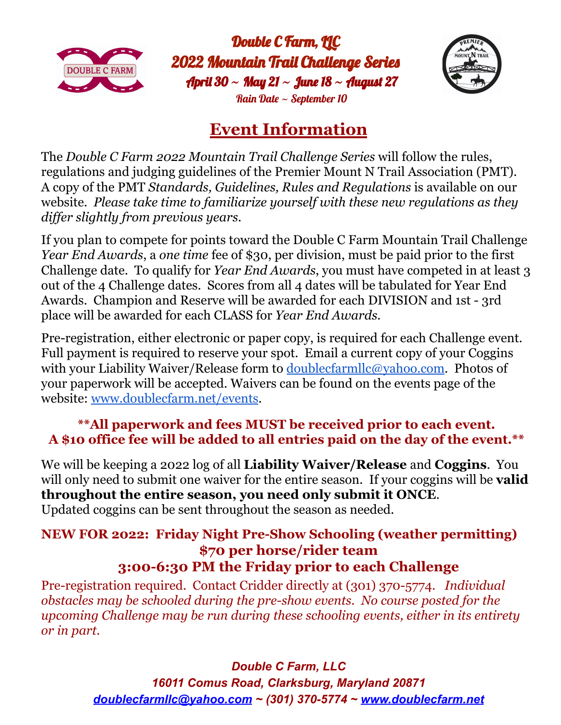

Double C Farm, IIC 2022 Mountain Trail Challenge Series April 30 **~** May 21 **~** June 18 **~** August 27 Rain Date  $\sim$  September 10



## **Event Information**

The *Double C Farm 2022 Mountain Trail Challenge Series* will follow the rules, regulations and judging guidelines of the Premier Mount N Trail Association (PMT). A copy of the PMT *Standards, Guidelines, Rules and Regulations* is available on our website. *Please take time to familiarize yourself with these new regulations as they dif er slightly from previous years.*

If you plan to compete for points toward the Double C Farm Mountain Trail Challenge *Year End Awards*, a *one time* fee of \$30, per division, must be paid prior to the first Challenge date. To qualify for *Year End Awards*, you must have competed in at least 3 out of the 4 Challenge dates. Scores from all 4 dates will be tabulated for Year End Awards. Champion and Reserve will be awarded for each DIVISION and 1st - 3rd place will be awarded for each CLASS for *Year End Awards*.

Pre-registration, either electronic or paper copy, is required for each Challenge event. Full payment is required to reserve your spot. Email a current copy of your Coggins with your Liability Waiver/Release form to [doublecfarmllc@yahoo.com](mailto:doublecfarmllc@yahoo.com). Photos of your paperwork will be accepted. Waivers can be found on the events page of the website: [www.doublecfarm.net/events](http://www.doublecfarm.net/events).

## **\*\*All paperwork and fees MUST be received prior to each event. A \$10 office fee will be added to all entries paid on the day of the event.\*\***

We will be keeping a 2022 log of all **Liability Waiver/Release** and **Coggins**. You will only need to submit one waiver for the entire season. If your coggins will be **valid throughout the entire season, you need only submit it ONCE**. Updated coggins can be sent throughout the season as needed.

## **NEW FOR 2022: Friday Night Pre-Show Schooling (weather permitting) \$70 per horse/rider team 3:00-6:30 PM the Friday prior to each Challenge**

Pre-registration required. Contact Cridder directly at (301) 370-5774. *Individual obstacles may be schooled during the pre-show events. No course posted for the upcoming Challenge may be run during these schooling events, either in its entirety or in part.*

## *Double C Farm, LLC*

*16011 Comus Road, Clarksburg, Maryland 20871 [doublecfarmllc@yahoo.com](mailto:doublecfarmllc@yahoo.com) ~ (301) 370-5774 ~ [www.doublecfarm.net](http://www.doublecfarm.net)*